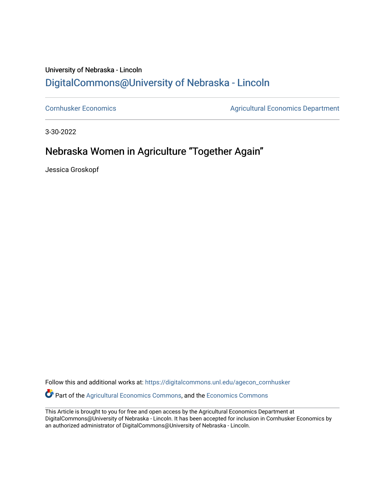## University of Nebraska - Lincoln [DigitalCommons@University of Nebraska - Lincoln](https://digitalcommons.unl.edu/)

[Cornhusker Economics](https://digitalcommons.unl.edu/agecon_cornhusker) **Agricultural Economics** Department

3-30-2022

## Nebraska Women in Agriculture "Together Again"

Jessica Groskopf

Follow this and additional works at: [https://digitalcommons.unl.edu/agecon\\_cornhusker](https://digitalcommons.unl.edu/agecon_cornhusker?utm_source=digitalcommons.unl.edu%2Fagecon_cornhusker%2F1144&utm_medium=PDF&utm_campaign=PDFCoverPages)  Part of the [Agricultural Economics Commons,](http://network.bepress.com/hgg/discipline/1225?utm_source=digitalcommons.unl.edu%2Fagecon_cornhusker%2F1144&utm_medium=PDF&utm_campaign=PDFCoverPages) and the [Economics Commons](http://network.bepress.com/hgg/discipline/340?utm_source=digitalcommons.unl.edu%2Fagecon_cornhusker%2F1144&utm_medium=PDF&utm_campaign=PDFCoverPages) 

This Article is brought to you for free and open access by the Agricultural Economics Department at DigitalCommons@University of Nebraska - Lincoln. It has been accepted for inclusion in Cornhusker Economics by an authorized administrator of DigitalCommons@University of Nebraska - Lincoln.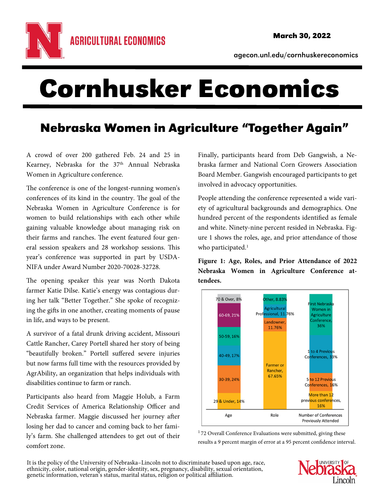

agecon.unl.edu/cornhuskereconomics

## Cornhusker Economics

## Nebraska Women in Agriculture "Together Again"

A crowd of over 200 gathered Feb. 24 and 25 in Kearney, Nebraska for the 37<sup>th</sup> Annual Nebraska Women in Agriculture conference.

The conference is one of the longest-running women's conferences of its kind in the country. The goal of the Nebraska Women in Agriculture Conference is for women to build relationships with each other while gaining valuable knowledge about managing risk on their farms and ranches. The event featured four general session speakers and 28 workshop sessions. This year's conference was supported in part by USDA-NIFA under Award Number 2020-70028-32728.

The opening speaker this year was North Dakota farmer Katie Dilse. Katie's energy was contagious during her talk "Better Together." She spoke of recognizing the gifts in one another, creating moments of pause in life, and ways to be present.

A survivor of a fatal drunk driving accident, Missouri Cattle Rancher, Carey Portell shared her story of being "beautifully broken." Portell suffered severe injuries but now farms full time with the resources provided by AgrAbility, an organization that helps individuals with disabilities continue to farm or ranch.

Participants also heard from Maggie Holub, a Farm Credit Services of America Relationship Officer and Nebraska farmer. Maggie discussed her journey after losing her dad to cancer and coming back to her family's farm. She challenged attendees to get out of their comfort zone.

Finally, participants heard from Deb Gangwish, a Nebraska farmer and National Corn Growers Association Board Member. Gangwish encouraged participants to get involved in advocacy opportunities.

People attending the conference represented a wide variety of agricultural backgrounds and demographics. One hundred percent of the respondents identified as female and white. Ninety-nine percent resided in Nebraska. Figure 1 shows the roles, age, and prior attendance of those who participated.<sup>1</sup>

**Figure 1: Age, Roles, and Prior Attendance of 2022 Nebraska Women in Agriculture Conference attendees.** 



<sup>1</sup>72 Overall Conference Evaluations were submitted, giving these results a 9 percent margin of error at a 95 percent confidence interval.